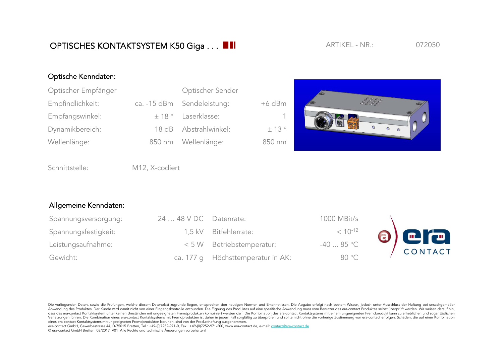## OPTISCHES KONTAKTSYSTEM K50 Giga . . . **ARTIKEL - NR.:** 072050

ARTIKFL - NR.:

## Optische Kenndaten:

| Optischer Empfänger | Optischer Sender           |          |  |
|---------------------|----------------------------|----------|--|
| Empfindlichkeit:    | ca. -15 dBm Sendeleistung: | $+6$ dBm |  |
| Empfangswinkel:     | $\pm$ 18 ° Laserklasse:    | -1.      |  |
| Dynamikbereich:     | 18 dB Abstrahlwinkel:      | ± 13°    |  |
| Wellenlänge:        | 850 nm Wellenlänge:        | 850 nm   |  |



Schnittstelle: M12, X-codiert

## Allgemeine Kenndaten:

| Spannungsversorgung: | 24  48 V DC Datenrate: |                                   | 1000 MBit/s  |             |
|----------------------|------------------------|-----------------------------------|--------------|-------------|
| Spannungsfestigkeit: |                        | 1,5 kV Bitfehlerrate:             | $< 10^{-12}$ | $\odot$ era |
| Leistungsaufnahme:   |                        | < 5 W Betriebstemperatur:         | $-4085$ °C   | CONTACT     |
| Gewicht:             |                        | ca. 177 q Höchsttemperatur in AK: | 80 °C        |             |

Die vorliegenden Daten, sowie die Prüfungen, welche diesem Datenblatt zugrunde liegen, entsprechen den heutigen Normen und Erkenntnissen. Die Abgabe erfolgt nach bestem Wissen, jedoch unter Ausschluss der Haftung bei unsac Anwendung des Produktes. Der Kunde wird damit nicht von einer Eingangskontrolle entbunden. Die Eignung des Produktes auf eine spezifische Anwendung muss vom Benutzer des era-contact Produktes selbst überprüft werden. Wir w dass das era-contact Kontaktsystem unter keinen Umständen mit ungeeigneten Fremdprodukten kombiniert werden darf. Die Kombination des era-contact Kontaktsystems mit einem ungeeigneten Fremdprodukt kann zu erheblichen und s Verletzungen führen. Die Kombination eines era-contact Kontaktsystems mit Fremdprodukten ist daher in jedem Fall sorgfältig zu überprüfen und sollte nicht ohne die vorherige Zustimmung von era-contact erfolgen. Schäden, di eines era-contact Kontaktsystems mit ungeeigneten Fremdprodukten beruhen, sind von der Produkthaftung ausgenommen.

era-contact GmbH, Gewerbestrasse 44, D-75015 Bretten, Tel.: +49-(0)7252-971-0, Fax.: +49-(0)7252-971-200, www.era-contact.de, e-mail: contact@era-contact.de © era-contact GmbH Bretten 03/2017 V01 Alle Rechte und technische Änderungen vorbehalten!